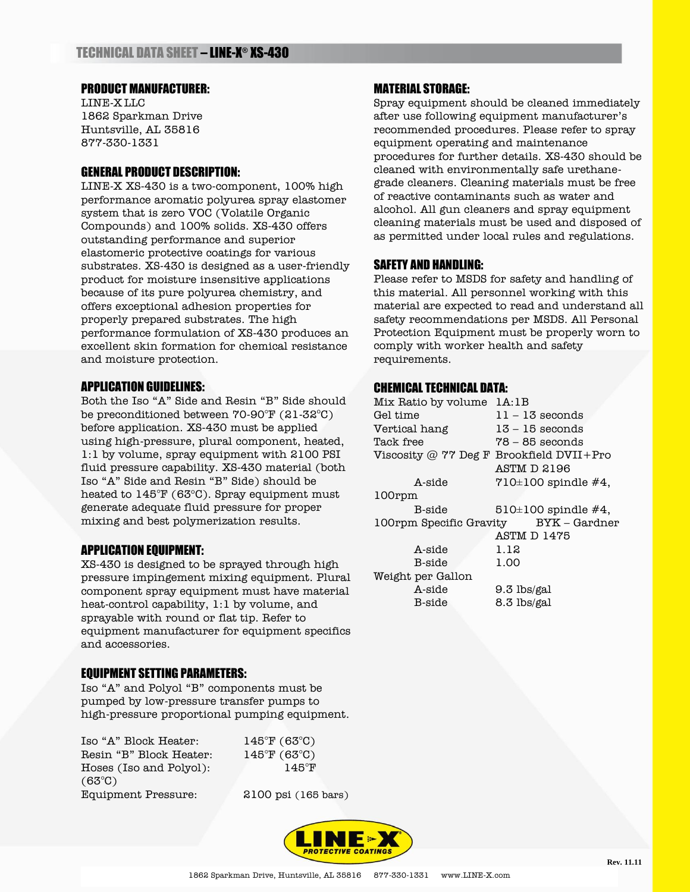# PRODUCT MANUFACTURER:

LINE-X LLC 1862 Sparkman Drive Huntsville, AL 35816 877-330-1331

# GENERAL PRODUCT DESCRIPTION:

LINE-X XS-430 is a two-component, 100% high performance aromatic polyurea spray elastomer system that is zero VOC (Volatile Organic Compounds) and 100% solids. XS-430 offers outstanding performance and superior elastomeric protective coatings for various substrates. XS-430 is designed as a user-friendly product for moisture insensitive applications because of its pure polyurea chemistry, and offers exceptional adhesion properties for properly prepared substrates. The high performance formulation of XS-430 produces an excellent skin formation for chemical resistance and moisture protection.

#### APPLICATION GUIDELINES:

Both the Iso "A" Side and Resin "B" Side should be preconditioned between  $70-90^{\circ}$ F (21-32 $^{\circ}$ C) before application. XS-430 must be applied using high-pressure, plural component, heated, 1:1 by volume, spray equipment with 2100 PSI fluid pressure capability. XS-430 material (both Iso "A" Side and Resin "B" Side) should be heated to  $145^{\circ}F(63^{\circ}C)$ . Spray equipment must generate adequate fluid pressure for proper mixing and best polymerization results.

#### APPLICATION EQUIPMENT:

XS-430 is designed to be sprayed through high pressure impingement mixing equipment. Plural component spray equipment must have material heat-control capability, 1:1 by volume, and sprayable with round or flat tip. Refer to equipment manufacturer for equipment specifics and accessories.

# EQUIPMENT SETTING PARAMETERS:

Iso "A" and Polyol "B" components must be pumped by low-pressure transfer pumps to high-pressure proportional pumping equipment.

Iso "A" Block Heater: 145°F (63°C) Resin "B" Block Heater: 145°F (63°C) Hoses (Iso and Polyol): 145°F (63°C) Equipment Pressure: 2100 psi (165 bars)



MATERIAL STORAGE:

after use following equipment manufacturer's recommended procedures. Please refer to spray equipment operating and maintenance procedures for further details. XS-430 should be cleaned with environmentally safe urethanegrade cleaners. Cleaning materials must be free of reactive contaminants such as water and alcohol. All gun cleaners and spray equipment cleaning materials must be used and disposed of as permitted under local rules and regulations.

Spray equipment should be cleaned immediately

### SAFETY AND HANDLING:

Please refer to MSDS for safety and handling of this material. All personnel working with this material are expected to read and understand all safety recommendations per MSDS. All Personal Protection Equipment must be properly worn to comply with worker health and safety requirements.

### CHEMICAL TECHNICAL DATA:

| Mix Ratio by volume 1A:1B                  |                         |
|--------------------------------------------|-------------------------|
| Gel time                                   | $11 - 13$ seconds       |
| Vertical hang                              | $13 - 15$ seconds       |
| Tack free                                  | $78 - 85$ seconds       |
| Viscosity @ 77 Deg F Brookfield $DVII+Pro$ |                         |
|                                            | ASTM D 2196             |
| A-side                                     | $710\pm100$ spindle #4, |
| 100rpm                                     |                         |
| B-side                                     | $510\pm100$ spindle #4, |
| 100rpm Specific Gravity                    | BYK – Gardner           |
|                                            | ASTM D 1475             |
| A-side                                     | 1.12                    |
| B-side                                     | 1.00                    |
| Weight per Gallon                          |                         |
| A-side                                     | 9.3 lbs/gal             |
| B-side                                     | 8.3 lbs/gal             |
|                                            |                         |